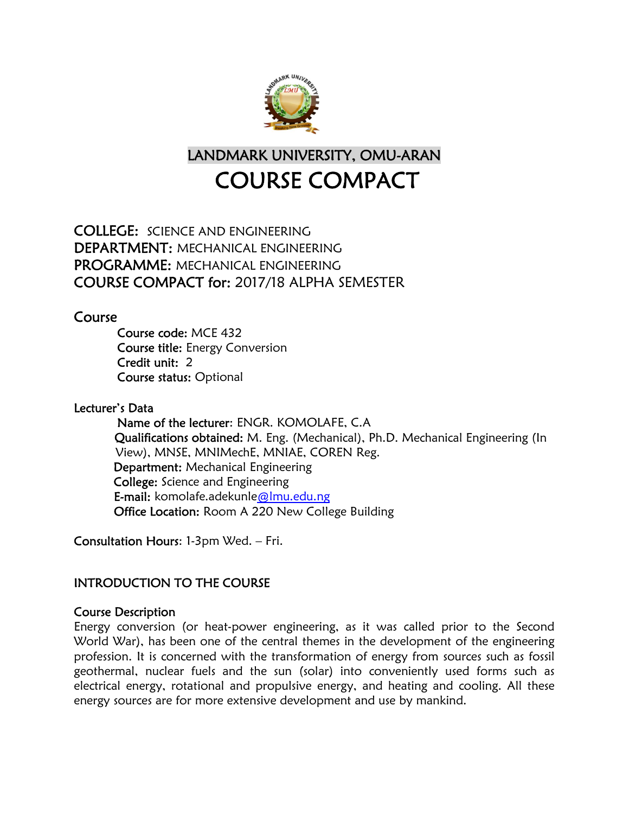

LANDMARK UNIVERSITY, OMU-ARAN COURSE COMPACT

COLLEGE: SCIENCE AND ENGINEERING DEPARTMENT: MECHANICAL ENGINEERING PROGRAMME: MECHANICAL ENGINEERING COURSE COMPACT for: 2017/18 ALPHA SEMESTER

Course

 Course code: MCE 432 Course title: Energy Conversion Credit unit: 2 Course status: Optional

# Lecturer's Data

 Name of the lecturer: ENGR. KOMOLAFE, C.A Qualifications obtained: M. Eng. (Mechanical), Ph.D. Mechanical Engineering (In View), MNSE, MNIMechE, MNIAE, COREN Reg. Department: Mechanical Engineering College: Science and Engineering E-mail: komolafe.adekunle@lmu.edu.ng Office Location: Room A 220 New College Building

Consultation Hours: 1-3pm Wed. – Fri.

# INTRODUCTION TO THE COURSE

# Course Description

Energy conversion (or heat-power engineering, as it was called prior to the Second World War), has been one of the central themes in the development of the engineering profession. It is concerned with the transformation of energy from sources such as fossil geothermal, nuclear fuels and the sun (solar) into conveniently used forms such as electrical energy, rotational and propulsive energy, and heating and cooling. All these energy sources are for more extensive development and use by mankind.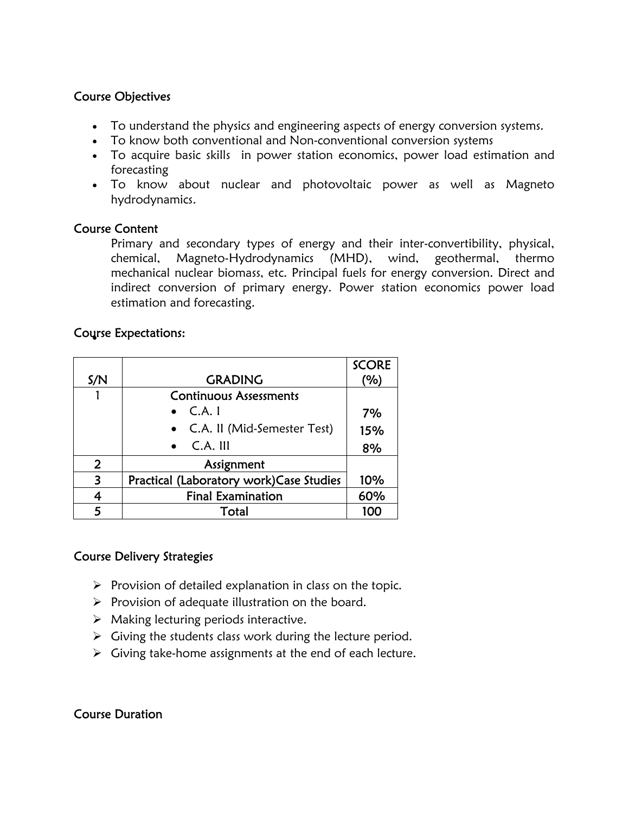# Course Objectives

- To understand the physics and engineering aspects of energy conversion systems.
- To know both conventional and Non-conventional conversion systems
- To acquire basic skills in power station economics, power load estimation and forecasting
- To know about nuclear and photovoltaic power as well as Magneto hydrodynamics.

## Course Content

Primary and secondary types of energy and their inter-convertibility, physical, chemical, Magneto-Hydrodynamics (MHD), wind, geothermal, thermo mechanical nuclear biomass, etc. Principal fuels for energy conversion. Direct and indirect conversion of primary energy. Power station economics power load estimation and forecasting.

# Course Expectations:

|                |                                         | <b>SCORE</b> |
|----------------|-----------------------------------------|--------------|
| S/N            | <b>GRADING</b>                          | (%)          |
|                | <b>Continuous Assessments</b>           |              |
|                | C.A.1                                   | 7%           |
|                | • C.A. II (Mid-Semester Test)           | 15%          |
|                | $C.A.$ III                              | 8%           |
| $\overline{2}$ | Assignment                              |              |
| 3              | Practical (Laboratory work)Case Studies | 10%          |
| 4              | <b>Final Examination</b>                | 60%          |
| 5              | Total                                   | 100          |

# Course Delivery Strategies

- $\triangleright$  Provision of detailed explanation in class on the topic.
- $\triangleright$  Provision of adequate illustration on the board.
- $\triangleright$  Making lecturing periods interactive.
- $\triangleright$  Giving the students class work during the lecture period.
- $\triangleright$  Giving take-home assignments at the end of each lecture.

# Course Duration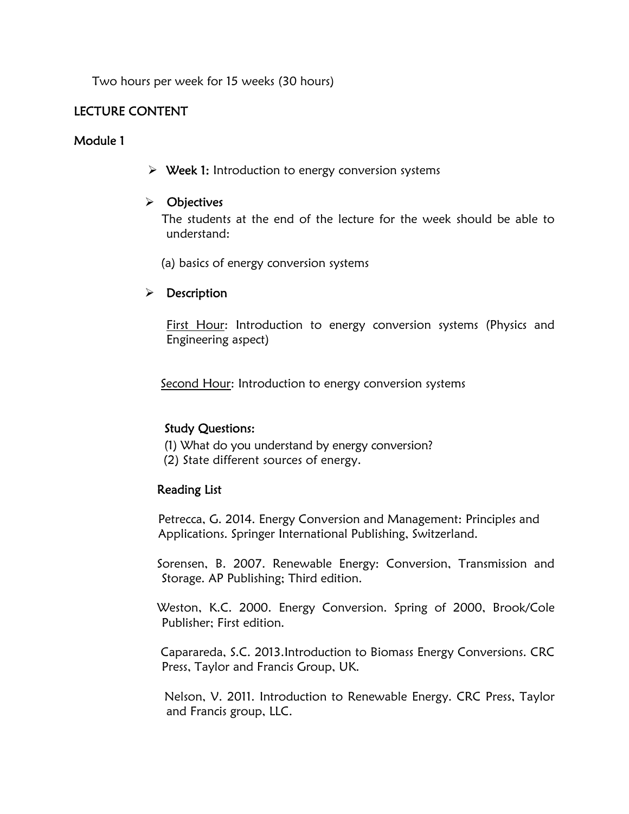Two hours per week for 15 weeks (30 hours)

## LECTURE CONTENT

## Module 1

 $\triangleright$  Week 1: Introduction to energy conversion systems

## $\triangleright$  Objectives

 The students at the end of the lecture for the week should be able to understand:

(a) basics of energy conversion systems

## $\triangleright$  Description

First Hour: Introduction to energy conversion systems (Physics and Engineering aspect)

Second Hour: Introduction to energy conversion systems

## Study Questions:

(1) What do you understand by energy conversion?

(2) State different sources of energy.

## Reading List

 Petrecca, G. 2014. Energy Conversion and Management: Principles and Applications. Springer International Publishing, Switzerland.

 Sorensen, B. 2007. Renewable Energy: Conversion, Transmission and Storage. AP Publishing; Third edition.

 Weston, K.C. 2000. Energy Conversion. Spring of 2000, Brook/Cole Publisher; First edition.

 Caparareda, S.C. 2013.Introduction to Biomass Energy Conversions. CRC Press, Taylor and Francis Group, UK.

 Nelson, V. 2011. Introduction to Renewable Energy. CRC Press, Taylor and Francis group, LLC.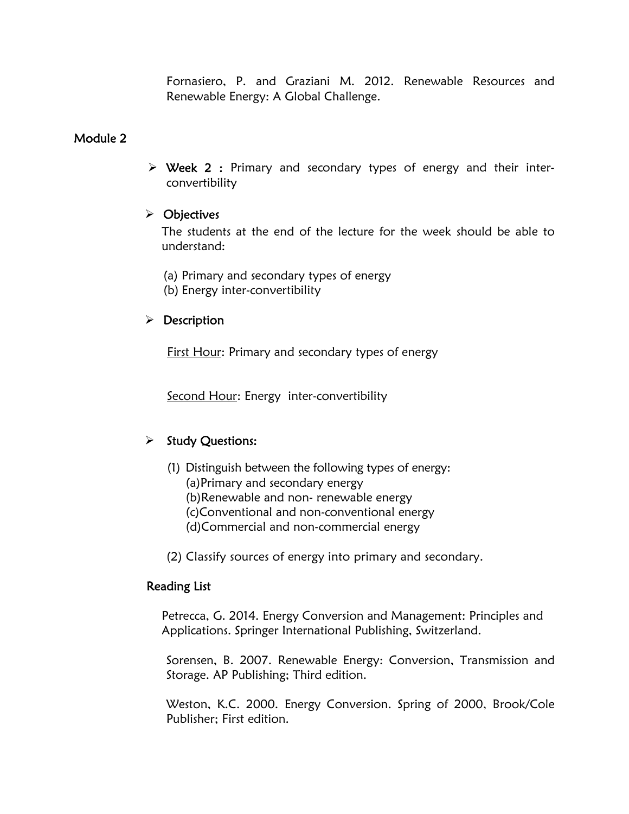Fornasiero, P. and Graziani M. 2012. Renewable Resources and Renewable Energy: A Global Challenge.

## Module 2

 $\triangleright$  Week 2 : Primary and secondary types of energy and their interconvertibility

## $\triangleright$  Objectives

The students at the end of the lecture for the week should be able to understand:

- (a) Primary and secondary types of energy
- (b) Energy inter-convertibility

## $\triangleright$  Description

First Hour: Primary and secondary types of energy

Second Hour: Energy inter-convertibility

# $\triangleright$  Study Questions:

- (1) Distinguish between the following types of energy:
	- (a)Primary and secondary energy
	- (b)Renewable and non- renewable energy
	- (c)Conventional and non-conventional energy
	- (d)Commercial and non-commercial energy
- (2) Classify sources of energy into primary and secondary.

## Reading List

 Petrecca, G. 2014. Energy Conversion and Management: Principles and Applications. Springer International Publishing, Switzerland.

Sorensen, B. 2007. Renewable Energy: Conversion, Transmission and Storage. AP Publishing; Third edition.

Weston, K.C. 2000. Energy Conversion. Spring of 2000, Brook/Cole Publisher; First edition.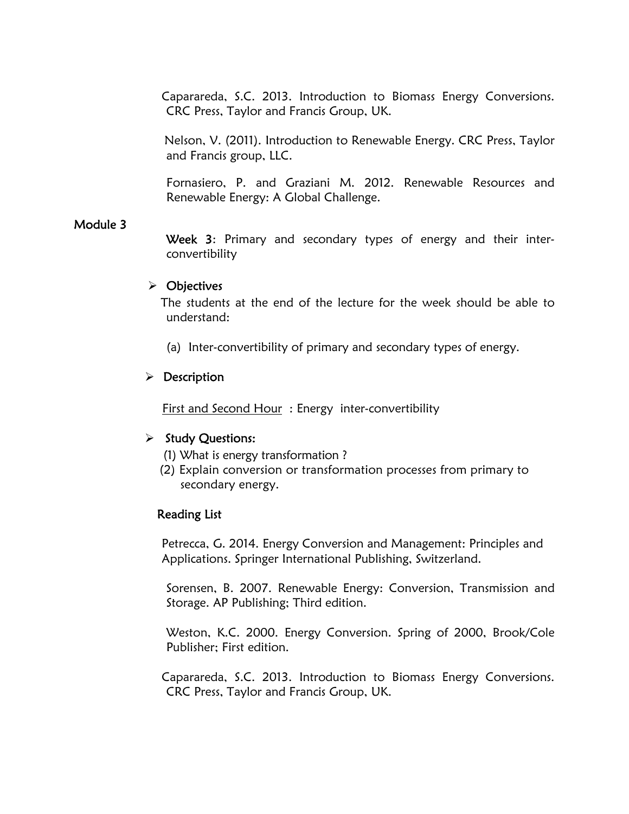Caparareda, S.C. 2013. Introduction to Biomass Energy Conversions. CRC Press, Taylor and Francis Group, UK.

 Nelson, V. (2011). Introduction to Renewable Energy. CRC Press, Taylor and Francis group, LLC.

Fornasiero, P. and Graziani M. 2012. Renewable Resources and Renewable Energy: A Global Challenge.

## Module 3

Week 3: Primary and secondary types of energy and their interconvertibility

#### $\triangleright$  Objectives

 The students at the end of the lecture for the week should be able to understand:

(a) Inter-convertibility of primary and secondary types of energy.

## $\triangleright$  Description

First and Second Hour : Energy inter-convertibility

#### $\triangleright$  Study Questions:

- (1) What is energy transformation ?
- (2) Explain conversion or transformation processes from primary to secondary energy.

#### Reading List

 Petrecca, G. 2014. Energy Conversion and Management: Principles and Applications. Springer International Publishing, Switzerland.

Sorensen, B. 2007. Renewable Energy: Conversion, Transmission and Storage. AP Publishing; Third edition.

Weston, K.C. 2000. Energy Conversion. Spring of 2000, Brook/Cole Publisher; First edition.

 Caparareda, S.C. 2013. Introduction to Biomass Energy Conversions. CRC Press, Taylor and Francis Group, UK.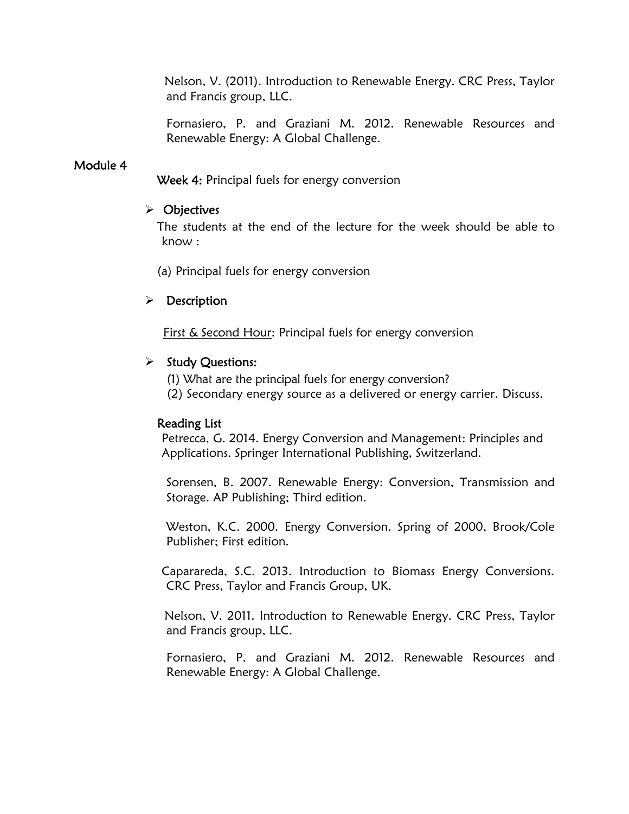Nelson, V. (2011). Introduction to Renewable Energy. CRC Press, Taylor and Francis group, LLC.

Fornasiero, P. and Graziani M. 2012. Renewable Resources and Renewable Energy: A Global Challenge.

## Module 4

Week 4: Principal fuels for energy conversion

#### $\triangleright$  Objectives

 The students at the end of the lecture for the week should be able to know :

(a) Principal fuels for energy conversion

## $\triangleright$  Description

First & Second Hour: Principal fuels for energy conversion

## $\triangleright$  Study Questions:

- (1) What are the principal fuels for energy conversion?
- (2) Secondary energy source as a delivered or energy carrier. Discuss.

#### Reading List

 Petrecca, G. 2014. Energy Conversion and Management: Principles and Applications. Springer International Publishing, Switzerland.

Sorensen, B. 2007. Renewable Energy: Conversion, Transmission and Storage. AP Publishing; Third edition.

Weston, K.C. 2000. Energy Conversion. Spring of 2000, Brook/Cole Publisher; First edition.

 Caparareda, S.C. 2013. Introduction to Biomass Energy Conversions. CRC Press, Taylor and Francis Group, UK.

 Nelson, V. 2011. Introduction to Renewable Energy. CRC Press, Taylor and Francis group, LLC.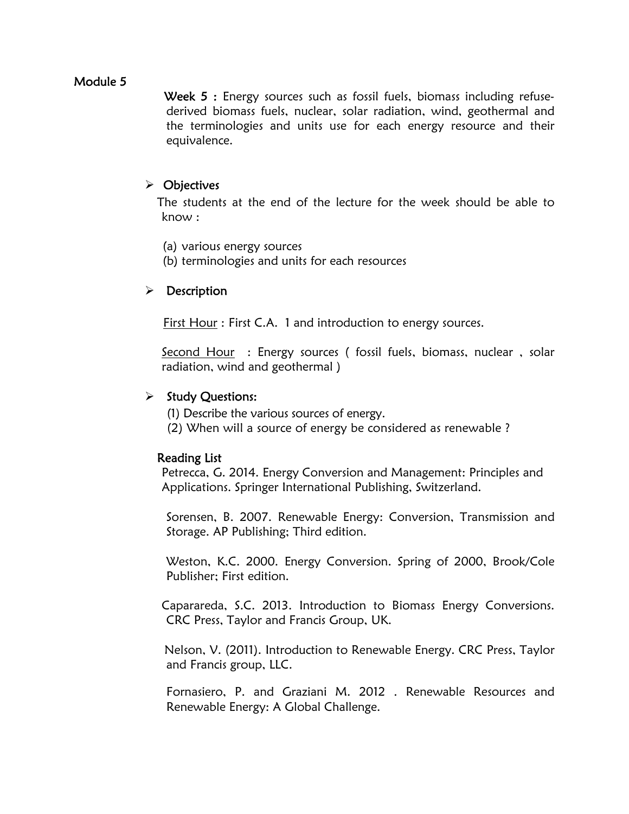Week 5 : Energy sources such as fossil fuels, biomass including refusederived biomass fuels, nuclear, solar radiation, wind, geothermal and the terminologies and units use for each energy resource and their equivalence.

## > Objectives

 The students at the end of the lecture for the week should be able to know :

- (a) various energy sources
- (b) terminologies and units for each resources

## $\triangleright$  Description

First Hour : First C.A. 1 and introduction to energy sources.

Second Hour : Energy sources (fossil fuels, biomass, nuclear, solar radiation, wind and geothermal )

## $\triangleright$  Study Questions:

- (1) Describe the various sources of energy.
- (2) When will a source of energy be considered as renewable ?

#### Reading List

 Petrecca, G. 2014. Energy Conversion and Management: Principles and Applications. Springer International Publishing, Switzerland.

Sorensen, B. 2007. Renewable Energy: Conversion, Transmission and Storage. AP Publishing; Third edition.

Weston, K.C. 2000. Energy Conversion. Spring of 2000, Brook/Cole Publisher; First edition.

 Caparareda, S.C. 2013. Introduction to Biomass Energy Conversions. CRC Press, Taylor and Francis Group, UK.

 Nelson, V. (2011). Introduction to Renewable Energy. CRC Press, Taylor and Francis group, LLC.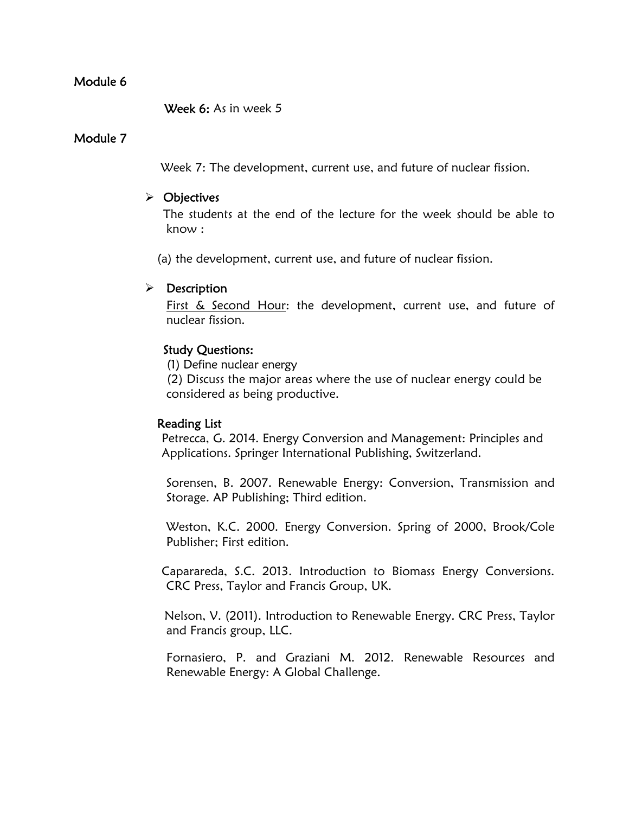Week 6: As in week 5

#### Module 7

Week 7: The development, current use, and future of nuclear fission.

### $\triangleright$  Objectives

The students at the end of the lecture for the week should be able to know :

(a) the development, current use, and future of nuclear fission.

#### $\triangleright$  Description

First & Second Hour: the development, current use, and future of nuclear fission.

## Study Questions:

(1) Define nuclear energy

 (2) Discuss the major areas where the use of nuclear energy could be considered as being productive.

#### Reading List

 Petrecca, G. 2014. Energy Conversion and Management: Principles and Applications. Springer International Publishing, Switzerland.

Sorensen, B. 2007. Renewable Energy: Conversion, Transmission and Storage. AP Publishing; Third edition.

Weston, K.C. 2000. Energy Conversion. Spring of 2000, Brook/Cole Publisher; First edition.

 Caparareda, S.C. 2013. Introduction to Biomass Energy Conversions. CRC Press, Taylor and Francis Group, UK.

 Nelson, V. (2011). Introduction to Renewable Energy. CRC Press, Taylor and Francis group, LLC.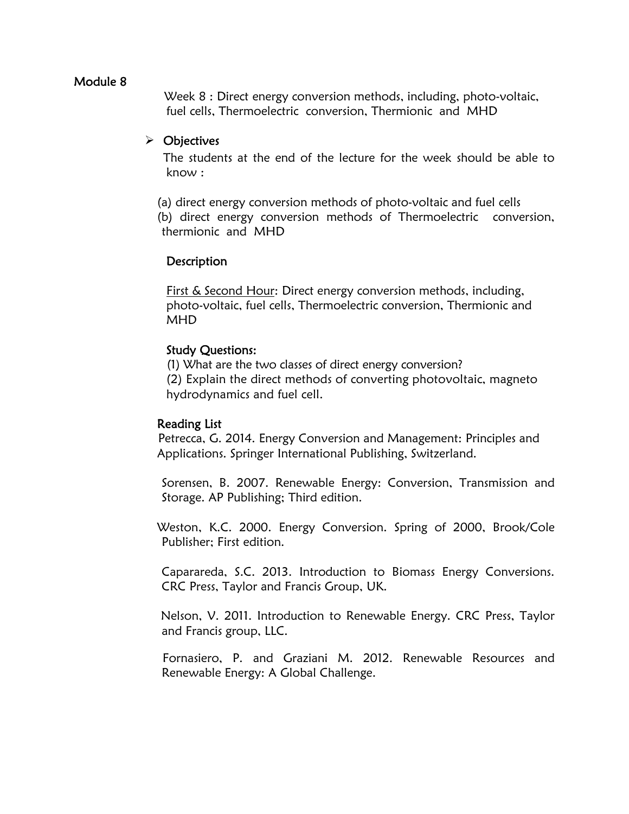Week 8 : Direct energy conversion methods, including, photo-voltaic, fuel cells, Thermoelectric conversion, Thermionic and MHD

## Objectives

The students at the end of the lecture for the week should be able to know :

 (a) direct energy conversion methods of photo-voltaic and fuel cells (b) direct energy conversion methods of Thermoelectric conversion, thermionic and MHD

## **Description**

First & Second Hour: Direct energy conversion methods, including, photo-voltaic, fuel cells, Thermoelectric conversion, Thermionic and MHD

## Study Questions:

(1) What are the two classes of direct energy conversion? (2) Explain the direct methods of converting photovoltaic, magneto hydrodynamics and fuel cell.

#### Reading List

 Petrecca, G. 2014. Energy Conversion and Management: Principles and Applications. Springer International Publishing, Switzerland.

Sorensen, B. 2007. Renewable Energy: Conversion, Transmission and Storage. AP Publishing; Third edition.

 Weston, K.C. 2000. Energy Conversion. Spring of 2000, Brook/Cole Publisher; First edition.

 Caparareda, S.C. 2013. Introduction to Biomass Energy Conversions. CRC Press, Taylor and Francis Group, UK.

 Nelson, V. 2011. Introduction to Renewable Energy. CRC Press, Taylor and Francis group, LLC.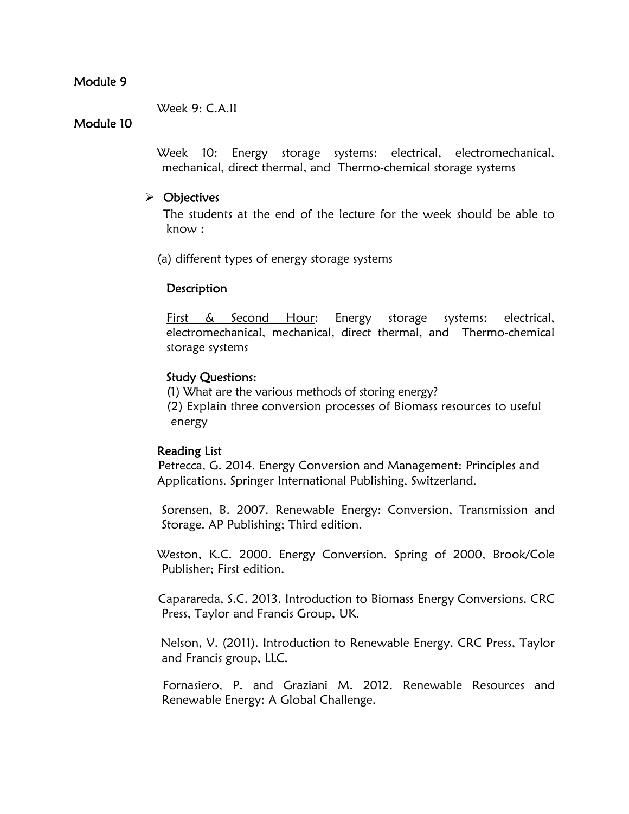#### Week 9: C.A.II

## Module 10

 Week 10: Energy storage systems: electrical, electromechanical, mechanical, direct thermal, and Thermo-chemical storage systems

### $\triangleright$  Objectives

The students at the end of the lecture for the week should be able to know :

(a) different types of energy storage systems

## **Description**

First & Second Hour: Energy storage systems: electrical, electromechanical, mechanical, direct thermal, and Thermo-chemical storage systems

## Study Questions:

(1) What are the various methods of storing energy? (2) Explain three conversion processes of Biomass resources to useful energy

#### Reading List

 Petrecca, G. 2014. Energy Conversion and Management: Principles and Applications. Springer International Publishing, Switzerland.

Sorensen, B. 2007. Renewable Energy: Conversion, Transmission and Storage. AP Publishing; Third edition.

 Weston, K.C. 2000. Energy Conversion. Spring of 2000, Brook/Cole Publisher; First edition.

 Caparareda, S.C. 2013. Introduction to Biomass Energy Conversions. CRC Press, Taylor and Francis Group, UK.

 Nelson, V. (2011). Introduction to Renewable Energy. CRC Press, Taylor and Francis group, LLC.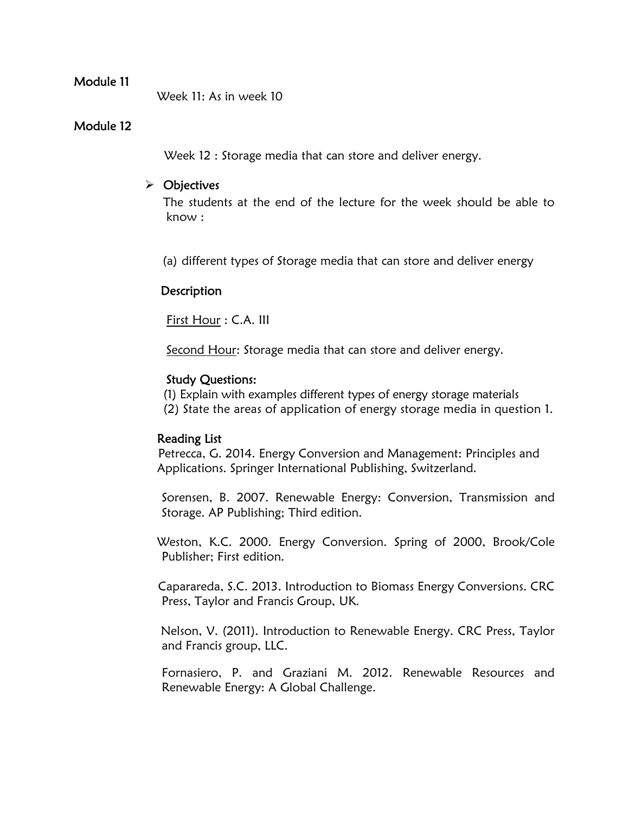Week 11: As in week 10

## Module 12

Week 12 : Storage media that can store and deliver energy.

## > Objectives

The students at the end of the lecture for the week should be able to know :

(a) different types of Storage media that can store and deliver energy

## **Description**

First Hour : C.A. III

Second Hour: Storage media that can store and deliver energy.

## Study Questions:

(1) Explain with examples different types of energy storage materials (2) State the areas of application of energy storage media in question 1.

#### Reading List

 Petrecca, G. 2014. Energy Conversion and Management: Principles and Applications. Springer International Publishing, Switzerland.

Sorensen, B. 2007. Renewable Energy: Conversion, Transmission and Storage. AP Publishing; Third edition.

 Weston, K.C. 2000. Energy Conversion. Spring of 2000, Brook/Cole Publisher; First edition.

 Caparareda, S.C. 2013. Introduction to Biomass Energy Conversions. CRC Press, Taylor and Francis Group, UK.

 Nelson, V. (2011). Introduction to Renewable Energy. CRC Press, Taylor and Francis group, LLC.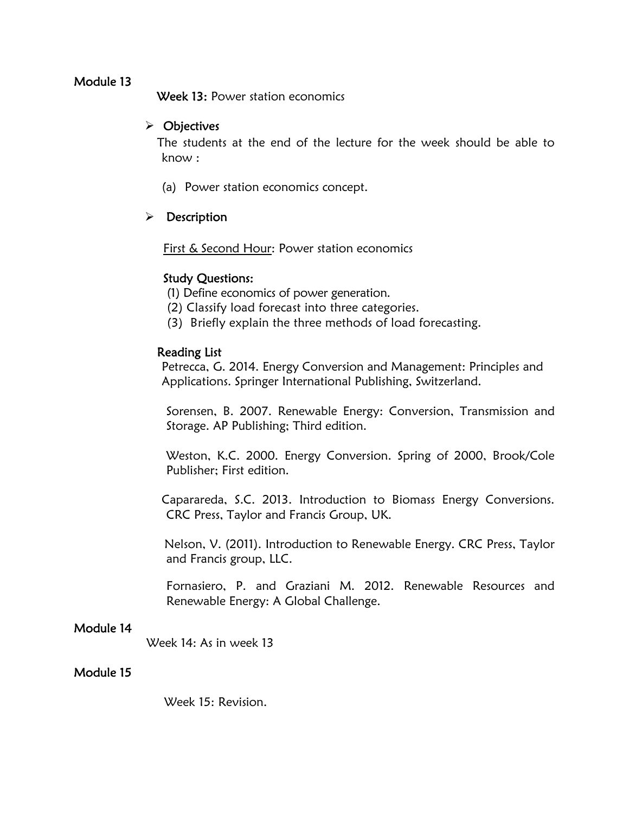Week 13: Power station economics

## $\triangleright$  Objectives

 The students at the end of the lecture for the week should be able to know :

(a) Power station economics concept.

## $\triangleright$  Description

First & Second Hour: Power station economics

## Study Questions:

- (1) Define economics of power generation.
- (2) Classify load forecast into three categories.
- (3) Briefly explain the three methods of load forecasting.

## Reading List

 Petrecca, G. 2014. Energy Conversion and Management: Principles and Applications. Springer International Publishing, Switzerland.

Sorensen, B. 2007. Renewable Energy: Conversion, Transmission and Storage. AP Publishing; Third edition.

Weston, K.C. 2000. Energy Conversion. Spring of 2000, Brook/Cole Publisher; First edition.

 Caparareda, S.C. 2013. Introduction to Biomass Energy Conversions. CRC Press, Taylor and Francis Group, UK.

 Nelson, V. (2011). Introduction to Renewable Energy. CRC Press, Taylor and Francis group, LLC.

Fornasiero, P. and Graziani M. 2012. Renewable Resources and Renewable Energy: A Global Challenge.

#### Module 14

Week 14: As in week 13

#### Module 15

Week 15: Revision.